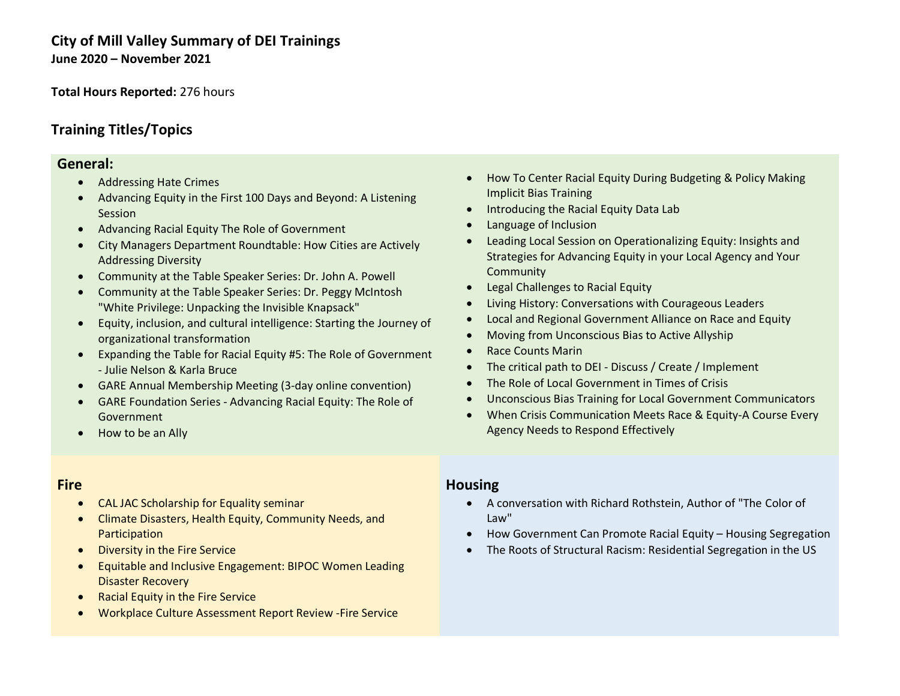## **City of Mill Valley Summary of DEI Trainings June 2020 – November 2021**

**Total Hours Reported:** 276 hours

## **Training Titles/Topics**

#### **General:**

- Addressing Hate Crimes
- Advancing Equity in the First 100 Days and Beyond: A Listening Session
- Advancing Racial Equity The Role of Government
- City Managers Department Roundtable: How Cities are Actively Addressing Diversity
- Community at the Table Speaker Series: Dr. John A. Powell
- Community at the Table Speaker Series: Dr. Peggy McIntosh "White Privilege: Unpacking the Invisible Knapsack"
- Equity, inclusion, and cultural intelligence: Starting the Journey of organizational transformation
- Expanding the Table for Racial Equity #5: The Role of Government - Julie Nelson & Karla Bruce
- GARE Annual Membership Meeting (3-day online convention)
- GARE Foundation Series Advancing Racial Equity: The Role of Government
- How to be an Ally

#### • How To Center Racial Equity During Budgeting & Policy Making Implicit Bias Training

- Introducing the Racial Equity Data Lab
- Language of Inclusion
- Leading Local Session on Operationalizing Equity: Insights and Strategies for Advancing Equity in your Local Agency and Your **Community**
- Legal Challenges to Racial Equity
- Living History: Conversations with Courageous Leaders
- Local and Regional Government Alliance on Race and Equity
- Moving from Unconscious Bias to Active Allyship
- Race Counts Marin
- The critical path to DEI Discuss / Create / Implement
- The Role of Local Government in Times of Crisis
- Unconscious Bias Training for Local Government Communicators
- When Crisis Communication Meets Race & Equity-A Course Every Agency Needs to Respond Effectively

### **Fire**

- CAL JAC Scholarship for Equality seminar
- Climate Disasters, Health Equity, Community Needs, and **Participation**
- Diversity in the Fire Service
- Equitable and Inclusive Engagement: BIPOC Women Leading Disaster Recovery
- Racial Equity in the Fire Service
- Workplace Culture Assessment Report Review -Fire Service

#### **Housing**

- A conversation with Richard Rothstein, Author of "The Color of Law"
- How Government Can Promote Racial Equity Housing Segregation
- The Roots of Structural Racism: Residential Segregation in the US